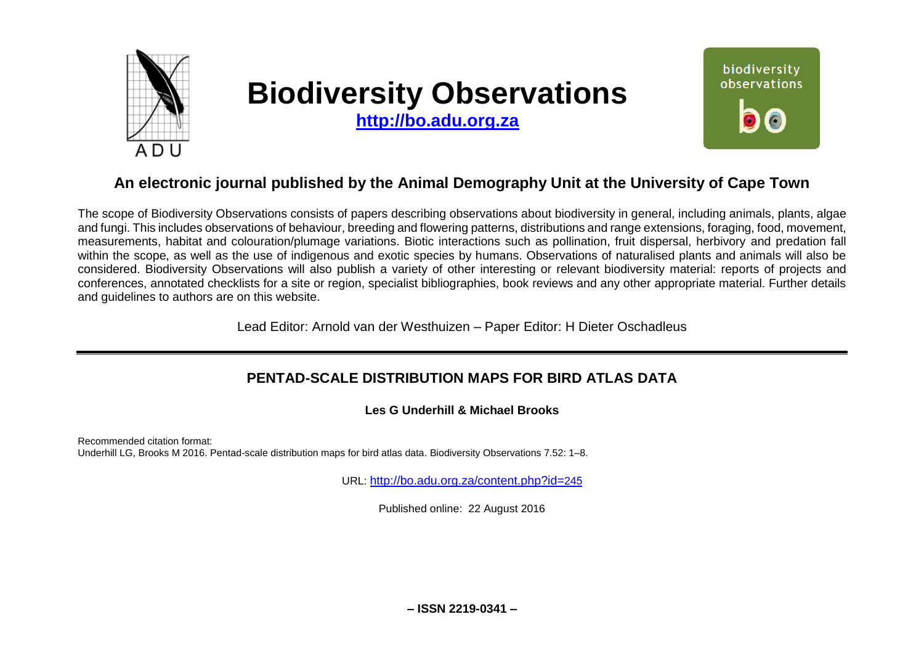

# **Biodiversity Observations**

**[http://bo.adu.org.za](http://bo.adu.org.za/)**



# **An electronic journal published by the Animal Demography Unit at the University of Cape Town**

The scope of Biodiversity Observations consists of papers describing observations about biodiversity in general, including animals, plants, algae and fungi. This includes observations of behaviour, breeding and flowering patterns, distributions and range extensions, foraging, food, movement, measurements, habitat and colouration/plumage variations. Biotic interactions such as pollination, fruit dispersal, herbivory and predation fall within the scope, as well as the use of indigenous and exotic species by humans. Observations of naturalised plants and animals will also be considered. Biodiversity Observations will also publish a variety of other interesting or relevant biodiversity material: reports of projects and conferences, annotated checklists for a site or region, specialist bibliographies, book reviews and any other appropriate material. Further details and guidelines to authors are on this website.

Lead Editor: Arnold van der Westhuizen – Paper Editor: H Dieter Oschadleus

# **PENTAD-SCALE DISTRIBUTION MAPS FOR BIRD ATLAS DATA**

**Les G Underhill & Michael Brooks** 

Recommended citation format: Underhill LG, Brooks M 2016. Pentad-scale distribution maps for bird atlas data. Biodiversity Observations 7.52: 1–8.

URL: [http://bo.adu.org.za/content.php?id=](http://bo.adu.org.za/content.php?id=246)245

Published online: 22 August 2016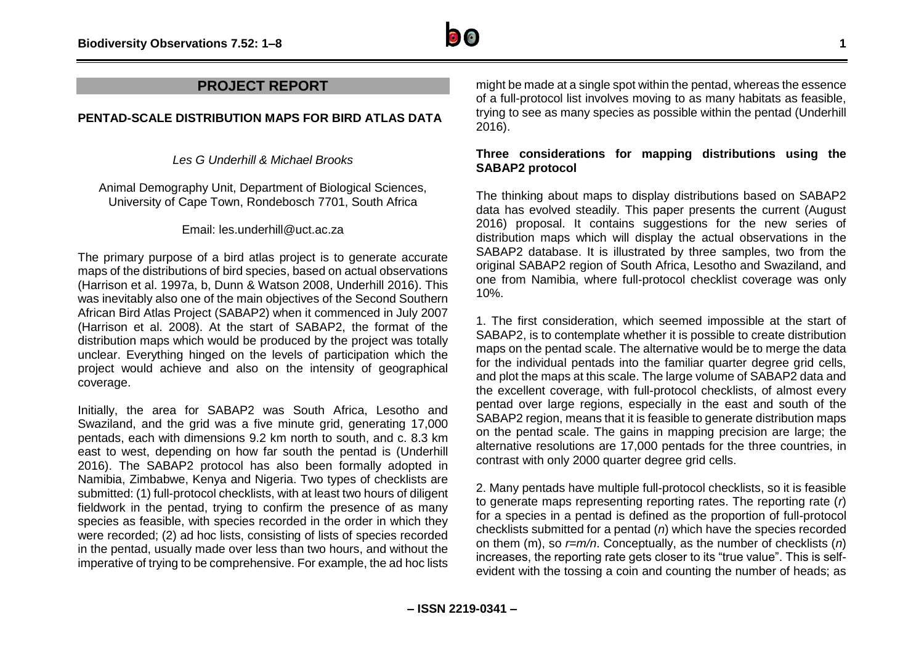

# **PROJECT REPORT**

### **PENTAD-SCALE DISTRIBUTION MAPS FOR BIRD ATLAS DATA**

*Les G Underhill & Michael Brooks*

Animal Demography Unit, Department of Biological Sciences, University of Cape Town, Rondebosch 7701, South Africa

Email: les.underhill@uct.ac.za

The primary purpose of a bird atlas project is to generate accurate maps of the distributions of bird species, based on actual observations (Harrison et al. 1997a, b, Dunn & Watson 2008, Underhill 2016). This was inevitably also one of the main objectives of the Second Southern African Bird Atlas Project (SABAP2) when it commenced in July 2007 (Harrison et al. 2008). At the start of SABAP2, the format of the distribution maps which would be produced by the project was totally unclear. Everything hinged on the levels of participation which the project would achieve and also on the intensity of geographical coverage.

Initially, the area for SABAP2 was South Africa, Lesotho and Swaziland, and the grid was a five minute grid, generating 17,000 pentads, each with dimensions 9.2 km north to south, and c. 8.3 km east to west, depending on how far south the pentad is (Underhill 2016). The SABAP2 protocol has also been formally adopted in Namibia, Zimbabwe, Kenya and Nigeria. Two types of checklists are submitted: (1) full-protocol checklists, with at least two hours of diligent fieldwork in the pentad, trying to confirm the presence of as many species as feasible, with species recorded in the order in which they were recorded; (2) ad hoc lists, consisting of lists of species recorded in the pentad, usually made over less than two hours, and without the imperative of trying to be comprehensive. For example, the ad hoc lists

might be made at a single spot within the pentad, whereas the essence of a full-protocol list involves moving to as many habitats as feasible, trying to see as many species as possible within the pentad (Underhill 2016).

# **Three considerations for mapping distributions using the SABAP2 protocol**

The thinking about maps to display distributions based on SABAP2 data has evolved steadily. This paper presents the current (August 2016) proposal. It contains suggestions for the new series of distribution maps which will display the actual observations in the SABAP2 database. It is illustrated by three samples, two from the original SABAP2 region of South Africa, Lesotho and Swaziland, and one from Namibia, where full-protocol checklist coverage was only 10%.

1. The first consideration, which seemed impossible at the start of SABAP2, is to contemplate whether it is possible to create distribution maps on the pentad scale. The alternative would be to merge the data for the individual pentads into the familiar quarter degree grid cells. and plot the maps at this scale. The large volume of SABAP2 data and the excellent coverage, with full-protocol checklists, of almost every pentad over large regions, especially in the east and south of the SABAP2 region, means that it is feasible to generate distribution maps on the pentad scale. The gains in mapping precision are large; the alternative resolutions are 17,000 pentads for the three countries, in contrast with only 2000 quarter degree grid cells.

2. Many pentads have multiple full-protocol checklists, so it is feasible to generate maps representing reporting rates. The reporting rate (*r*) for a species in a pentad is defined as the proportion of full-protocol checklists submitted for a pentad (*n*) which have the species recorded on them (m), so *r=m/n*. Conceptually, as the number of checklists (*n*) increases, the reporting rate gets closer to its "true value". This is selfevident with the tossing a coin and counting the number of heads; as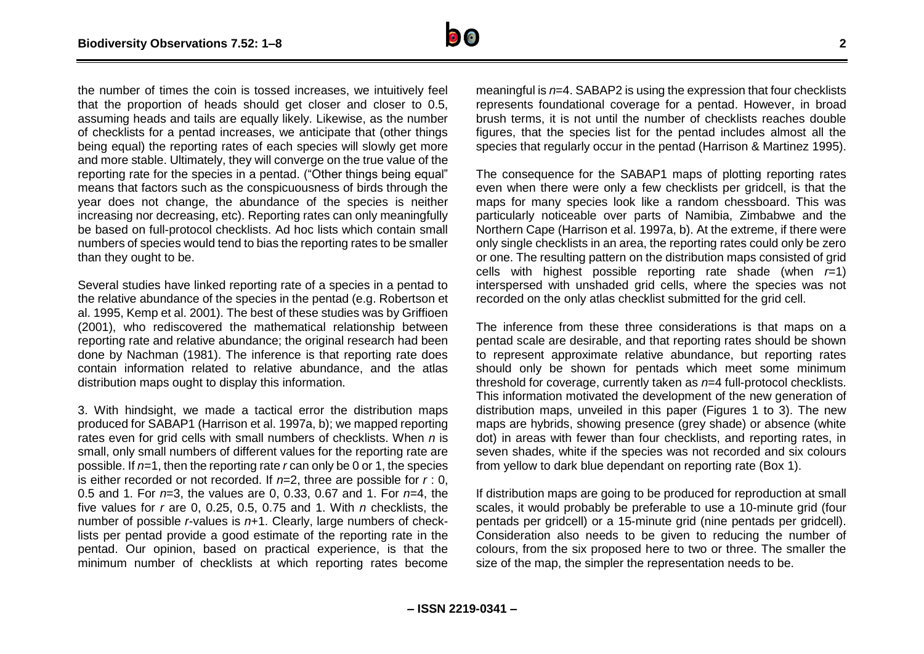

the number of times the coin is tossed increases, we intuitively feel that the proportion of heads should get closer and closer to 0.5, assuming heads and tails are equally likely. Likewise, as the number of checklists for a pentad increases, we anticipate that (other things being equal) the reporting rates of each species will slowly get more and more stable. Ultimately, they will converge on the true value of the reporting rate for the species in a pentad. ("Other things being equal" means that factors such as the conspicuousness of birds through the year does not change, the abundance of the species is neither increasing nor decreasing, etc). Reporting rates can only meaningfully be based on full-protocol checklists. Ad hoc lists which contain small numbers of species would tend to bias the reporting rates to be smaller than they ought to be.

Several studies have linked reporting rate of a species in a pentad to the relative abundance of the species in the pentad (e.g. Robertson et al. 1995, Kemp et al. 2001). The best of these studies was by Griffioen (2001), who rediscovered the mathematical relationship between reporting rate and relative abundance; the original research had been done by Nachman (1981). The inference is that reporting rate does contain information related to relative abundance, and the atlas distribution maps ought to display this information.

3. With hindsight, we made a tactical error the distribution maps produced for SABAP1 (Harrison et al. 1997a, b); we mapped reporting rates even for grid cells with small numbers of checklists. When *n* is small, only small numbers of different values for the reporting rate are possible. If *n*=1, then the reporting rate *r* can only be 0 or 1, the species is either recorded or not recorded. If *n*=2, three are possible for *r* : 0, 0.5 and 1. For *n*=3, the values are 0, 0.33, 0.67 and 1. For *n*=4, the five values for *r* are 0, 0.25, 0.5, 0.75 and 1. With *n* checklists, the number of possible *r*-values is *n*+1. Clearly, large numbers of checklists per pentad provide a good estimate of the reporting rate in the pentad. Our opinion, based on practical experience, is that the minimum number of checklists at which reporting rates become meaningful is *n*=4. SABAP2 is using the expression that four checklists represents foundational coverage for a pentad. However, in broad brush terms, it is not until the number of checklists reaches double figures, that the species list for the pentad includes almost all the species that regularly occur in the pentad (Harrison & Martinez 1995).

The consequence for the SABAP1 maps of plotting reporting rates even when there were only a few checklists per gridcell, is that the maps for many species look like a random chessboard. This was particularly noticeable over parts of Namibia, Zimbabwe and the Northern Cape (Harrison et al. 1997a, b). At the extreme, if there were only single checklists in an area, the reporting rates could only be zero or one. The resulting pattern on the distribution maps consisted of grid cells with highest possible reporting rate shade (when *r*=1) interspersed with unshaded grid cells, where the species was not recorded on the only atlas checklist submitted for the grid cell.

The inference from these three considerations is that maps on a pentad scale are desirable, and that reporting rates should be shown to represent approximate relative abundance, but reporting rates should only be shown for pentads which meet some minimum threshold for coverage, currently taken as *n*=4 full-protocol checklists. This information motivated the development of the new generation of distribution maps, unveiled in this paper (Figures 1 to 3). The new maps are hybrids, showing presence (grey shade) or absence (white dot) in areas with fewer than four checklists, and reporting rates, in seven shades, white if the species was not recorded and six colours from yellow to dark blue dependant on reporting rate (Box 1).

If distribution maps are going to be produced for reproduction at small scales, it would probably be preferable to use a 10-minute grid (four pentads per gridcell) or a 15-minute grid (nine pentads per gridcell). Consideration also needs to be given to reducing the number of colours, from the six proposed here to two or three. The smaller the size of the map, the simpler the representation needs to be.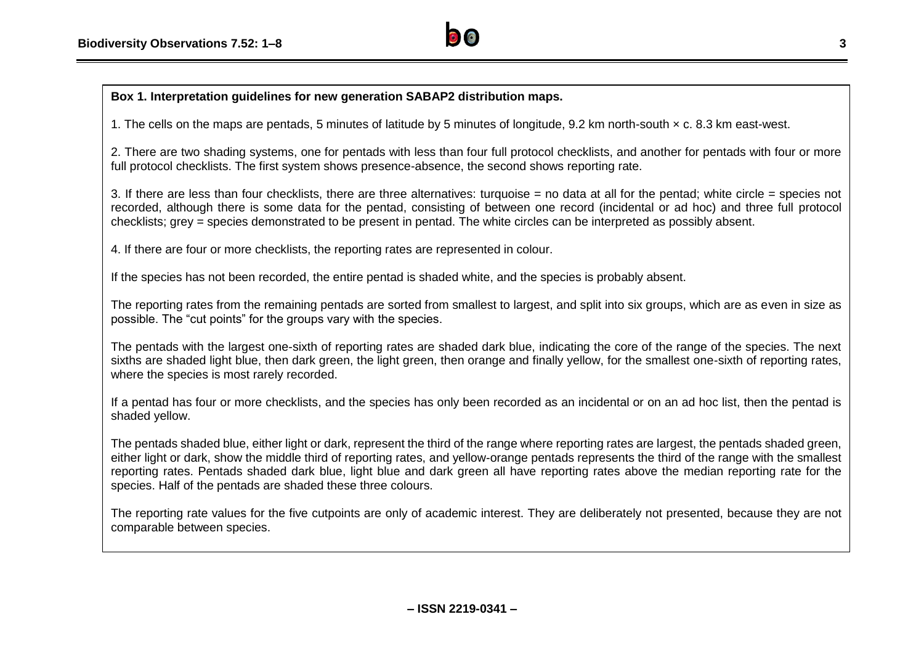

# **Box 1. Interpretation guidelines for new generation SABAP2 distribution maps.**

1. The cells on the maps are pentads, 5 minutes of latitude by 5 minutes of longitude, 9.2 km north-south × c. 8.3 km east-west.

2. There are two shading systems, one for pentads with less than four full protocol checklists, and another for pentads with four or more full protocol checklists. The first system shows presence-absence, the second shows reporting rate.

3. If there are less than four checklists, there are three alternatives: turquoise = no data at all for the pentad; white circle = species not recorded, although there is some data for the pentad, consisting of between one record (incidental or ad hoc) and three full protocol checklists; grey = species demonstrated to be present in pentad. The white circles can be interpreted as possibly absent.

4. If there are four or more checklists, the reporting rates are represented in colour.

If the species has not been recorded, the entire pentad is shaded white, and the species is probably absent.

The reporting rates from the remaining pentads are sorted from smallest to largest, and split into six groups, which are as even in size as possible. The "cut points" for the groups vary with the species.

The pentads with the largest one-sixth of reporting rates are shaded dark blue, indicating the core of the range of the species. The next sixths are shaded light blue, then dark green, the light green, then orange and finally yellow, for the smallest one-sixth of reporting rates, where the species is most rarely recorded.

If a pentad has four or more checklists, and the species has only been recorded as an incidental or on an ad hoc list, then the pentad is shaded yellow.

The pentads shaded blue, either light or dark, represent the third of the range where reporting rates are largest, the pentads shaded green, either light or dark, show the middle third of reporting rates, and yellow-orange pentads represents the third of the range with the smallest reporting rates. Pentads shaded dark blue, light blue and dark green all have reporting rates above the median reporting rate for the species. Half of the pentads are shaded these three colours.

The reporting rate values for the five cutpoints are only of academic interest. They are deliberately not presented, because they are not comparable between species.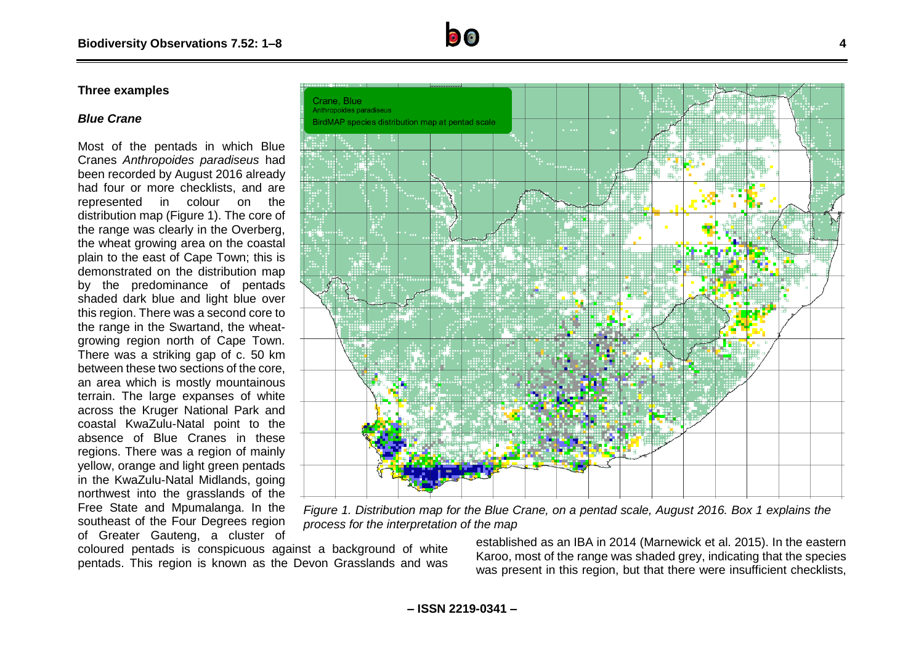#### **Three examples**

#### *Blue Crane*

Most of the pentads in which Blue Cranes *Anthropoides paradiseus* had been recorded by August 2016 already had four or more checklists, and are represented in colour on the distribution map (Figure 1). The core of the range was clearly in the Overberg, the wheat growing area on the coastal plain to the east of Cape Town; this is demonstrated on the distribution map by the predominance of pentads shaded dark blue and light blue over this region. There was a second core to the range in the Swartand, the wheatgrowing region north of Cape Town. There was a striking gap of c. 50 km between these two sections of the core, an area which is mostly mountainous terrain. The large expanses of white across the Kruger National Park and coastal KwaZulu-Natal point to the absence of Blue Cranes in these regions. There was a region of mainly yellow, orange and light green pentads in the KwaZulu-Natal Midlands, going northwest into the grasslands of the Free State and Mpumalanga. In the southeast of the Four Degrees region of Greater Gauteng, a cluster of



*Figure 1. Distribution map for the Blue Crane, on a pentad scale, August 2016. Box 1 explains the process for the interpretation of the map*

coloured pentads is conspicuous against a background of white pentads. This region is known as the Devon Grasslands and was

established as an IBA in 2014 (Marnewick et al. 2015). In the eastern Karoo, most of the range was shaded grey, indicating that the species was present in this region, but that there were insufficient checklists,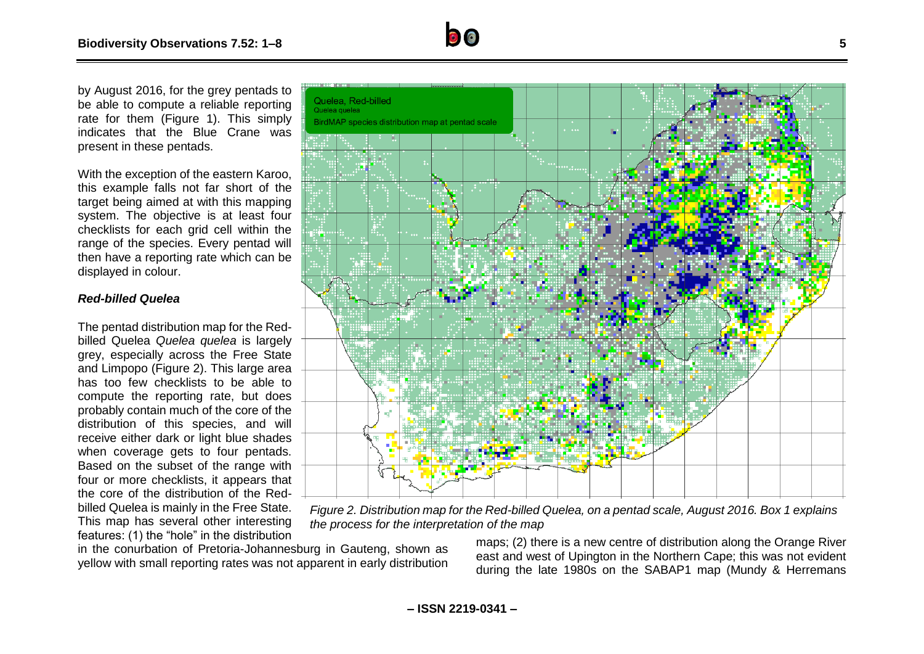by August 2016, for the grey pentads to be able to compute a reliable reporting rate for them (Figure 1). This simply indicates that the Blue Crane was present in these pentads.

With the exception of the eastern Karoo, this example falls not far short of the target being aimed at with this mapping system. The objective is at least four checklists for each grid cell within the range of the species. Every pentad will then have a reporting rate which can be displayed in colour.

#### *Red-billed Quelea*

The pentad distribution map for the Redbilled Quelea *Quelea quelea* is largely grey, especially across the Free State and Limpopo (Figure 2). This large area has too few checklists to be able to compute the reporting rate, but does probably contain much of the core of the distribution of this species, and will receive either dark or light blue shades when coverage gets to four pentads. Based on the subset of the range with four or more checklists, it appears that the core of the distribution of the Redbilled Quelea is mainly in the Free State. This map has several other interesting features: (1) the "hole" in the distribution



*Figure 2. Distribution map for the Red-billed Quelea, on a pentad scale, August 2016. Box 1 explains the process for the interpretation of the map*

in the conurbation of Pretoria-Johannesburg in Gauteng, shown as yellow with small reporting rates was not apparent in early distribution maps; (2) there is a new centre of distribution along the Orange River east and west of Upington in the Northern Cape; this was not evident during the late 1980s on the SABAP1 map (Mundy & Herremans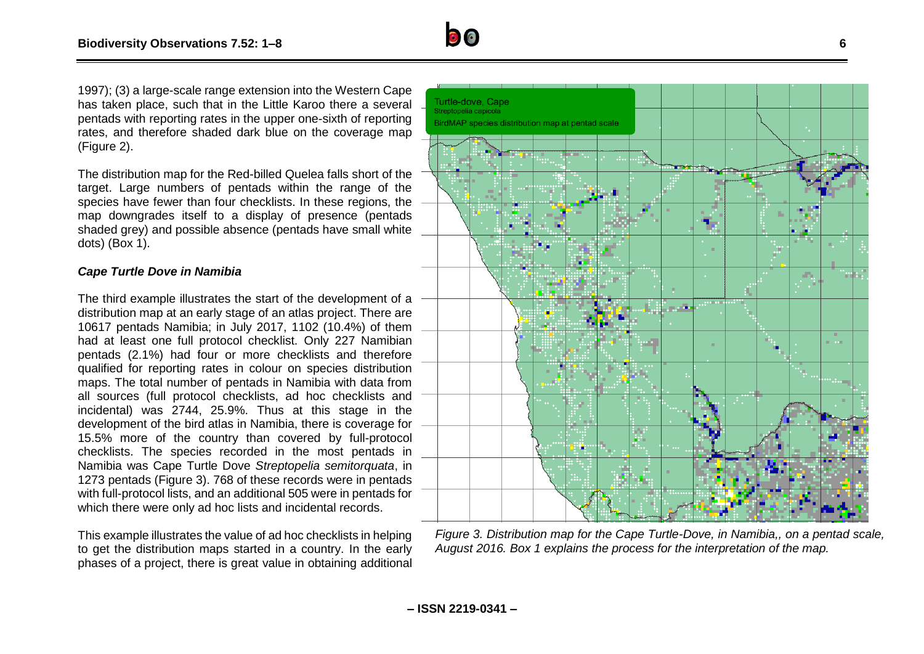

1997); (3) a large-scale range extension into the Western Cape has taken place, such that in the Little Karoo there a several pentads with reporting rates in the upper one-sixth of reporting rates, and therefore shaded dark blue on the coverage map (Figure 2).

The distribution map for the Red-billed Quelea falls short of the target. Large numbers of pentads within the range of the species have fewer than four checklists. In these regions, the map downgrades itself to a display of presence (pentads shaded grey) and possible absence (pentads have small white dots) (Box 1).

# *Cape Turtle Dove in Namibia*

The third example illustrates the start of the development of a distribution map at an early stage of an atlas project. There are 10617 pentads Namibia; in July 2017, 1102 (10.4%) of them had at least one full protocol checklist. Only 227 Namibian pentads (2.1%) had four or more checklists and therefore qualified for reporting rates in colour on species distribution maps. The total number of pentads in Namibia with data from all sources (full protocol checklists, ad hoc checklists and incidental) was 2744, 25.9%. Thus at this stage in the development of the bird atlas in Namibia, there is coverage for 15.5% more of the country than covered by full-protocol checklists. The species recorded in the most pentads in Namibia was Cape Turtle Dove *Streptopelia semitorquata*, in 1273 pentads (Figure 3). 768 of these records were in pentads with full-protocol lists, and an additional 505 were in pentads for which there were only ad hoc lists and incidental records.

This example illustrates the value of ad hoc checklists in helping to get the distribution maps started in a country. In the early phases of a project, there is great value in obtaining additional



*Figure 3. Distribution map for the Cape Turtle-Dove, in Namibia,, on a pentad scale, August 2016. Box 1 explains the process for the interpretation of the map.*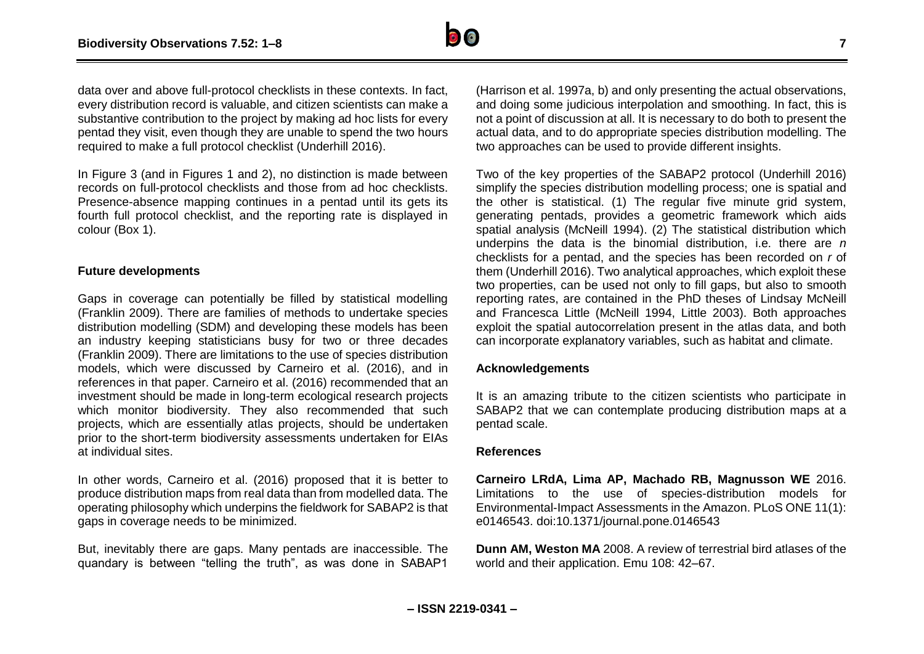

data over and above full-protocol checklists in these contexts. In fact, every distribution record is valuable, and citizen scientists can make a substantive contribution to the project by making ad hoc lists for every pentad they visit, even though they are unable to spend the two hours required to make a full protocol checklist (Underhill 2016).

In Figure 3 (and in Figures 1 and 2), no distinction is made between records on full-protocol checklists and those from ad hoc checklists. Presence-absence mapping continues in a pentad until its gets its fourth full protocol checklist, and the reporting rate is displayed in colour (Box 1).

#### **Future developments**

Gaps in coverage can potentially be filled by statistical modelling (Franklin 2009). There are families of methods to undertake species distribution modelling (SDM) and developing these models has been an industry keeping statisticians busy for two or three decades (Franklin 2009). There are limitations to the use of species distribution models, which were discussed by Carneiro et al. (2016), and in references in that paper. Carneiro et al. (2016) recommended that an investment should be made in long-term ecological research projects which monitor biodiversity. They also recommended that such projects, which are essentially atlas projects, should be undertaken prior to the short-term biodiversity assessments undertaken for EIAs at individual sites.

In other words, Carneiro et al. (2016) proposed that it is better to produce distribution maps from real data than from modelled data. The operating philosophy which underpins the fieldwork for SABAP2 is that gaps in coverage needs to be minimized.

But, inevitably there are gaps. Many pentads are inaccessible. The quandary is between "telling the truth", as was done in SABAP1 (Harrison et al. 1997a, b) and only presenting the actual observations, and doing some judicious interpolation and smoothing. In fact, this is not a point of discussion at all. It is necessary to do both to present the actual data, and to do appropriate species distribution modelling. The two approaches can be used to provide different insights.

Two of the key properties of the SABAP2 protocol (Underhill 2016) simplify the species distribution modelling process; one is spatial and the other is statistical. (1) The regular five minute grid system, generating pentads, provides a geometric framework which aids spatial analysis (McNeill 1994). (2) The statistical distribution which underpins the data is the binomial distribution, i.e. there are *n* checklists for a pentad, and the species has been recorded on *r* of them (Underhill 2016). Two analytical approaches, which exploit these two properties, can be used not only to fill gaps, but also to smooth reporting rates, are contained in the PhD theses of Lindsay McNeill and Francesca Little (McNeill 1994, Little 2003). Both approaches exploit the spatial autocorrelation present in the atlas data, and both can incorporate explanatory variables, such as habitat and climate.

#### **Acknowledgements**

It is an amazing tribute to the citizen scientists who participate in SABAP2 that we can contemplate producing distribution maps at a pentad scale.

#### **References**

**Carneiro LRdA, Lima AP, Machado RB, Magnusson WE** 2016. Limitations to the use of species-distribution models for Environmental-Impact Assessments in the Amazon. PLoS ONE 11(1): e0146543. doi:10.1371/journal.pone.0146543

**Dunn AM, Weston MA** 2008. A review of terrestrial bird atlases of the world and their application. Emu 108: 42–67.